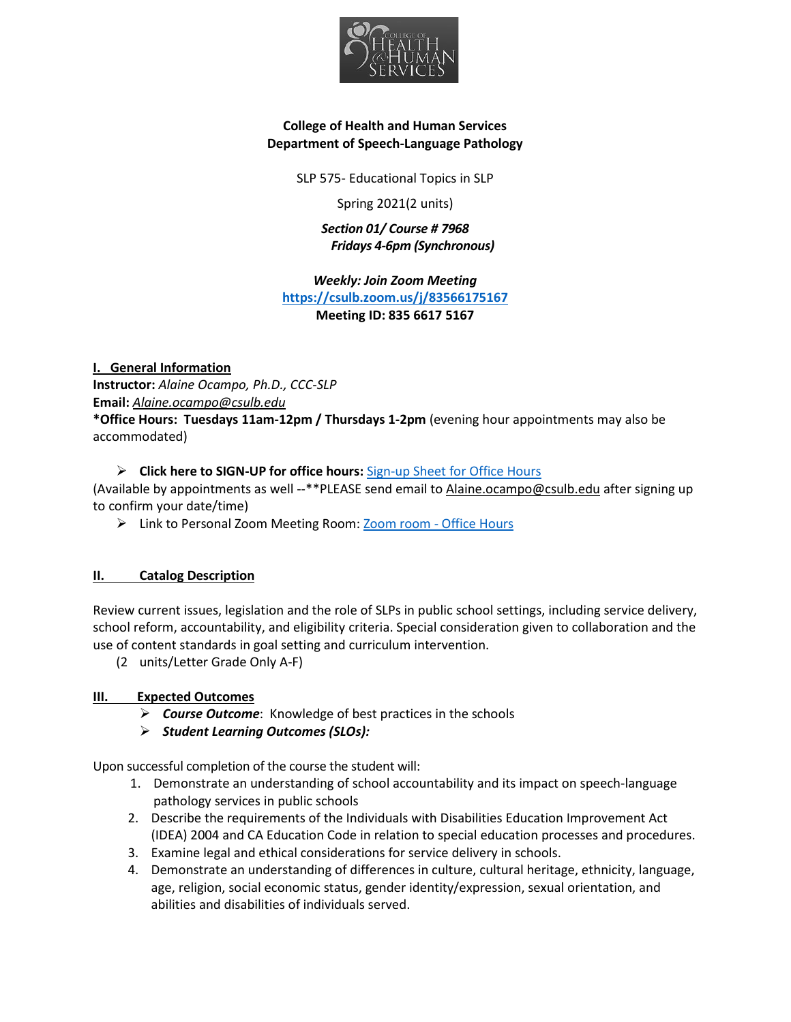

## **College of Health and Human Services Department of Speech-Language Pathology**

SLP 575- Educational Topics in SLP

Spring 2021(2 units)

*Section 01/ Course # 7968 Fridays 4-6pm (Synchronous)*

*Weekly: Join Zoom Meeting* **<https://csulb.zoom.us/j/83566175167> Meeting ID: 835 6617 5167**

**I. General Information Instructor:** *Alaine Ocampo, Ph.D., CCC-SLP* **Email:** *[Alaine.ocampo@csulb.edu](mailto:Alaine.ocampo@csulb.edu)*

**\*Office Hours: Tuesdays 11am-12pm / Thursdays 1-2pm** (evening hour appointments may also be accommodated)

## **Click here to SIGN-UP for office hours:** [Sign-up Sheet for Office Hours](https://csulb-my.sharepoint.com/:x:/g/personal/alaine_ocampo_csulb_edu/ESXPA1GRybZAj4ROiaqQqrQBI5D7_lXoFXxr8s9a16H6Yw?e=I8oz4e)

(Available by appointments as well --\*\*PLEASE send email to [Alaine.ocampo@csulb.edu](mailto:Alaine.ocampo@csulb.edu) after signing up to confirm your date/time)

> Link to Personal Zoom Meeting Room: [Zoom room -](https://csulb.zoom.us/j/2938614806?pwd=RXRzS0FSaUZMR0dBckxadll1S091QT09) Office Hours

## **II. Catalog Description**

Review current issues, legislation and the role of SLPs in public school settings, including service delivery, school reform, accountability, and eligibility criteria. Special consideration given to collaboration and the use of content standards in goal setting and curriculum intervention.

(2 units/Letter Grade Only A-F)

## **III. Expected Outcomes**

- *Course Outcome*: Knowledge of best practices in the schools
- *Student Learning Outcomes (SLOs):*

Upon successful completion of the course the student will:

- 1. Demonstrate an understanding of school accountability and its impact on speech-language pathology services in public schools
- 2. Describe the requirements of the Individuals with Disabilities Education Improvement Act (IDEA) 2004 and CA Education Code in relation to special education processes and procedures.
- 3. Examine legal and ethical considerations for service delivery in schools.
- 4. Demonstrate an understanding of differences in culture, cultural heritage, ethnicity, language, age, religion, social economic status, gender identity/expression, sexual orientation, and abilities and disabilities of individuals served.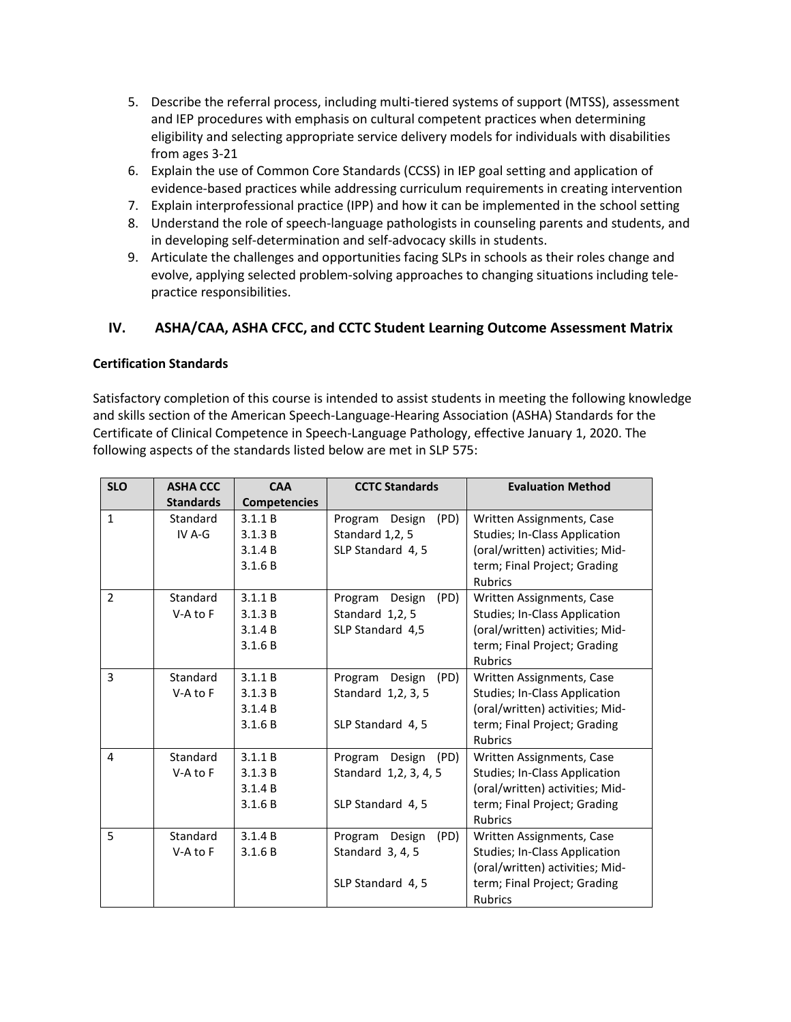- 5. Describe the referral process, including multi-tiered systems of support (MTSS), assessment and IEP procedures with emphasis on cultural competent practices when determining eligibility and selecting appropriate service delivery models for individuals with disabilities from ages 3-21
- 6. Explain the use of Common Core Standards (CCSS) in IEP goal setting and application of evidence-based practices while addressing curriculum requirements in creating intervention
- 7. Explain interprofessional practice (IPP) and how it can be implemented in the school setting
- 8. Understand the role of speech-language pathologists in counseling parents and students, and in developing self-determination and self-advocacy skills in students.
- 9. Articulate the challenges and opportunities facing SLPs in schools as their roles change and evolve, applying selected problem-solving approaches to changing situations including telepractice responsibilities.

# **IV. ASHA/CAA, ASHA CFCC, and CCTC Student Learning Outcome Assessment Matrix**

## **Certification Standards**

Satisfactory completion of this course is intended to assist students in meeting the following knowledge and skills section of the American Speech-Language-Hearing Association (ASHA) Standards for the Certificate of Clinical Competence in Speech-Language Pathology, effective January 1, 2020. The following aspects of the standards listed below are met in SLP 575:

| <b>SLO</b>     | <b>ASHA CCC</b>  | <b>CAA</b>          | <b>CCTC Standards</b>     | <b>Evaluation Method</b>             |
|----------------|------------------|---------------------|---------------------------|--------------------------------------|
|                | <b>Standards</b> | <b>Competencies</b> |                           |                                      |
| $\mathbf{1}$   | Standard         | 3.1.1 B             | (PD)<br>Program<br>Design | Written Assignments, Case            |
|                | IV $A-G$         | 3.1.3 B             | Standard 1,2, 5           | <b>Studies; In-Class Application</b> |
|                |                  | 3.1.4 B             | SLP Standard 4, 5         | (oral/written) activities; Mid-      |
|                |                  | 3.1.6 B             |                           | term; Final Project; Grading         |
|                |                  |                     |                           | <b>Rubrics</b>                       |
| $\overline{2}$ | Standard         | 3.1.1 B             | Design<br>(PD)<br>Program | Written Assignments, Case            |
|                | $V-A$ to $F$     | 3.1.3 B             | Standard 1,2, 5           | Studies; In-Class Application        |
|                |                  | 3.1.4 B             | SLP Standard 4,5          | (oral/written) activities; Mid-      |
|                |                  | 3.1.6 B             |                           | term; Final Project; Grading         |
|                |                  |                     |                           | Rubrics                              |
| 3              | Standard         | 3.1.1 B             | Program<br>Design<br>(PD) | Written Assignments, Case            |
|                | $V-A$ to $F$     | 3.1.3 B             | Standard 1,2, 3, 5        | Studies; In-Class Application        |
|                |                  | 3.1.4 B             |                           | (oral/written) activities; Mid-      |
|                |                  | 3.1.6 B             | SLP Standard 4, 5         | term; Final Project; Grading         |
|                |                  |                     |                           | <b>Rubrics</b>                       |
| 4              | Standard         | 3.1.1 B             | Program Design<br>(PD)    | Written Assignments, Case            |
|                | $V-A$ to $F$     | 3.1.3 B             | Standard 1,2, 3, 4, 5     | <b>Studies; In-Class Application</b> |
|                |                  | 3.1.4 B             |                           | (oral/written) activities; Mid-      |
|                |                  | 3.1.6 B             | SLP Standard 4, 5         | term; Final Project; Grading         |
|                |                  |                     |                           | Rubrics                              |
| 5              | Standard         | 3.1.4 B             | Program<br>Design<br>(PD) | Written Assignments, Case            |
|                | $V-A$ to $F$     | 3.1.6 B             | Standard 3, 4, 5          | Studies; In-Class Application        |
|                |                  |                     |                           | (oral/written) activities; Mid-      |
|                |                  |                     | SLP Standard 4, 5         | term; Final Project; Grading         |
|                |                  |                     |                           | <b>Rubrics</b>                       |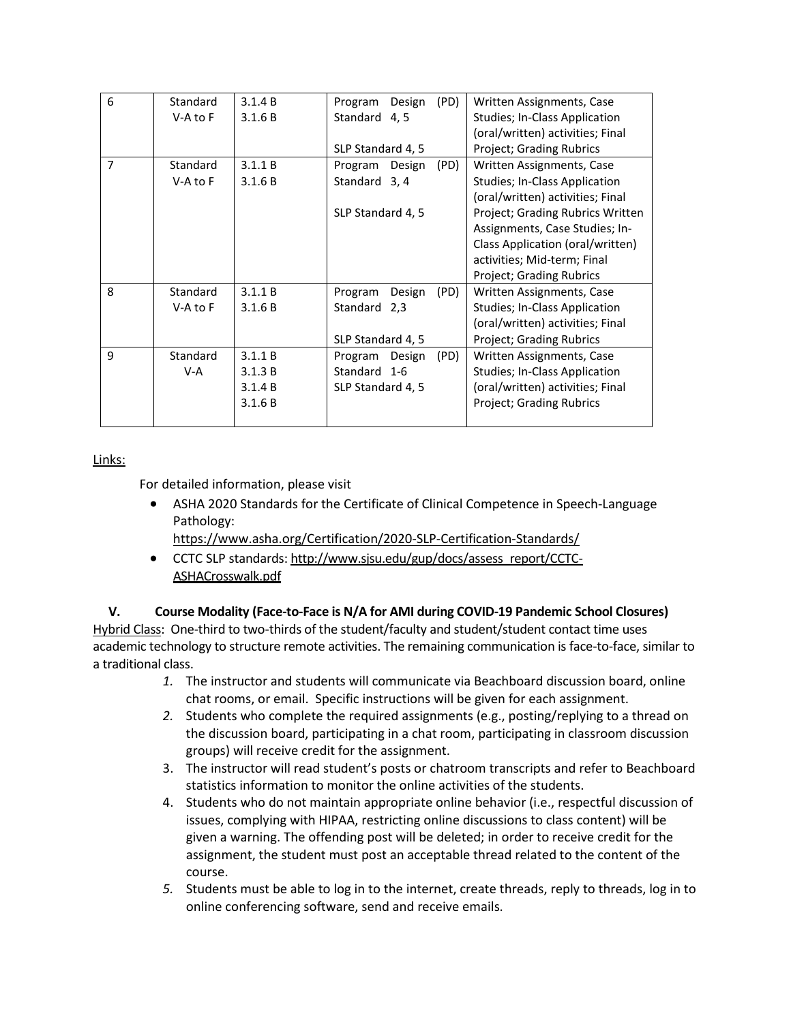| 6              | Standard     | 3.1.4 B | Program<br>Design | (PD) | Written Assignments, Case        |
|----------------|--------------|---------|-------------------|------|----------------------------------|
|                | $V-A$ to $F$ | 3.1.6 B | Standard 4, 5     |      | Studies; In-Class Application    |
|                |              |         |                   |      | (oral/written) activities; Final |
|                |              |         | SLP Standard 4, 5 |      | Project; Grading Rubrics         |
| $\overline{7}$ | Standard     | 3.1.1 B | Program<br>Design | (PD) | Written Assignments, Case        |
|                | $V-A$ to $F$ | 3.1.6 B | Standard 3, 4     |      | Studies; In-Class Application    |
|                |              |         |                   |      | (oral/written) activities; Final |
|                |              |         | SLP Standard 4, 5 |      | Project; Grading Rubrics Written |
|                |              |         |                   |      | Assignments, Case Studies; In-   |
|                |              |         |                   |      | Class Application (oral/written) |
|                |              |         |                   |      | activities; Mid-term; Final      |
|                |              |         |                   |      | Project; Grading Rubrics         |
| 8              | Standard     | 3.1.1 B | Program<br>Design | (PD) | Written Assignments, Case        |
|                | $V-A$ to $F$ | 3.1.6 B | Standard<br>2,3   |      | Studies; In-Class Application    |
|                |              |         |                   |      | (oral/written) activities; Final |
|                |              |         | SLP Standard 4, 5 |      | Project; Grading Rubrics         |
| 9              | Standard     | 3.1.1 B | Design<br>Program | (PD) | Written Assignments, Case        |
|                | V-A          | 3.1.3 B | Standard 1-6      |      | Studies; In-Class Application    |
|                |              | 3.1.4 B | SLP Standard 4, 5 |      | (oral/written) activities; Final |
|                |              | 3.1.6 B |                   |      | <b>Project; Grading Rubrics</b>  |
|                |              |         |                   |      |                                  |

## Links:

For detailed information, please visit

- ASHA 2020 Standards for the Certificate of Clinical Competence in Speech-Language Pathology:
	- <https://www.asha.org/Certification/2020-SLP-Certification-Standards/>
- CCTC SLP standards: [http://www.sjsu.edu/gup/docs/assess\\_report/CCTC-](http://www.sjsu.edu/gup/docs/assess_report/CCTC-ASHACrosswalk.pdf)[ASHACrosswalk.pdf](http://www.sjsu.edu/gup/docs/assess_report/CCTC-ASHACrosswalk.pdf)

## **V. Course Modality (Face-to-Face is N/A for AMI during COVID-19 Pandemic School Closures)**

Hybrid Class: One-third to two-thirds of the student/faculty and student/student contact time uses academic technology to structure remote activities. The remaining communication is face-to-face, similar to a traditional class.

- *1.* The instructor and students will communicate via Beachboard discussion board, online chat rooms, or email. Specific instructions will be given for each assignment.
- *2.* Students who complete the required assignments (e.g., posting/replying to a thread on the discussion board, participating in a chat room, participating in classroom discussion groups) will receive credit for the assignment.
- 3. The instructor will read student's posts or chatroom transcripts and refer to Beachboard statistics information to monitor the online activities of the students.
- 4. Students who do not maintain appropriate online behavior (i.e., respectful discussion of issues, complying with HIPAA, restricting online discussions to class content) will be given a warning. The offending post will be deleted; in order to receive credit for the assignment, the student must post an acceptable thread related to the content of the course.
- *5.* Students must be able to log in to the internet, create threads, reply to threads, log in to online conferencing software, send and receive emails.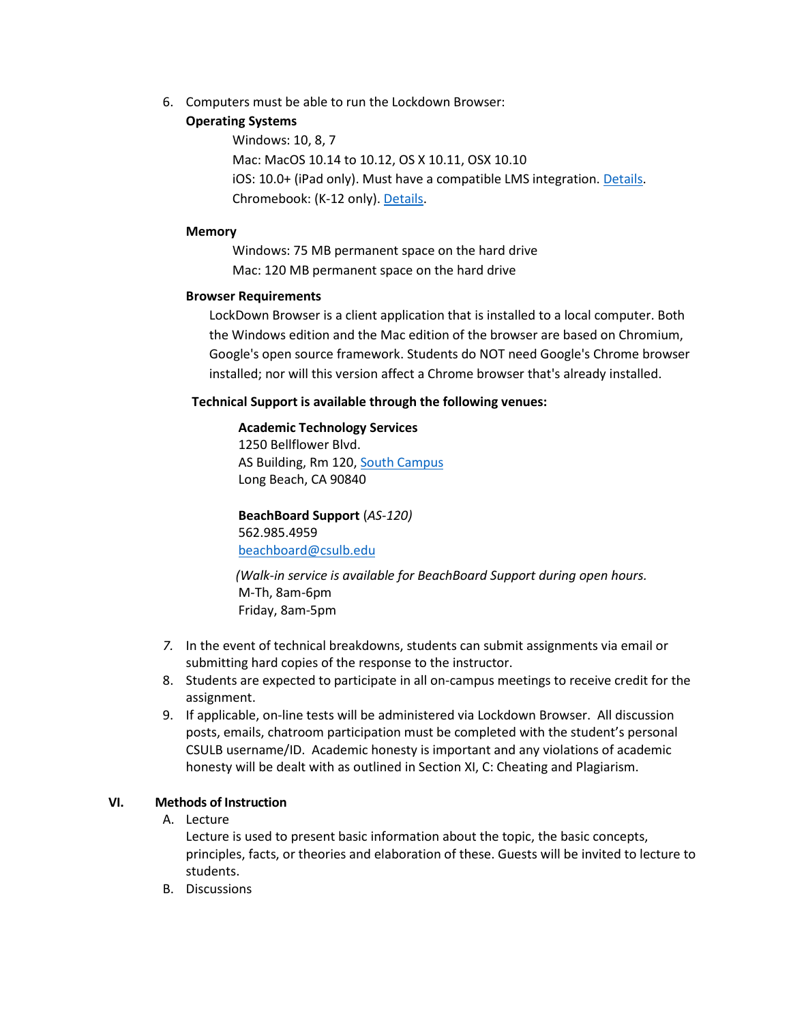6. Computers must be able to run the Lockdown Browser:

### **Operating Systems**

Windows: 10, 8, 7 Mac: MacOS 10.14 to 10.12, OS X 10.11, OSX 10.10 iOS: 10.0+ (iPad only). Must have a compatible LMS integration. [Details.](http://support.respondus.com/support/index.php?/default_import/Knowledgebase/Article/View/186/0/can-an-ipad-be-used-with-lockdown-browser) Chromebook: (K-12 only). [Details.](http://support.respondus.com/support/index.php?/Knowledgebase/Article/View/288/0/are-chromebooks-compatible-with-lockdown-browser)

### **Memory**

Windows: 75 MB permanent space on the hard drive Mac: 120 MB permanent space on the hard drive

## **Browser Requirements**

LockDown Browser is a client application that is installed to a local computer. Both the Windows edition and the Mac edition of the browser are based on Chromium, Google's open source framework. Students do NOT need Google's Chrome browser installed; nor will this version affect a Chrome browser that's already installed.

## **Technical Support is available through the following venues:**

## **Academic Technology Services**

1250 Bellflower Blvd. AS Building, Rm 120, [South Campus](https://daf.csulb.edu/maps/parking/index.html) Long Beach, CA 90840

**BeachBoard Support** (*AS-120)* 562.985.4959 [beachboard@csulb.edu](mailto:beachboard@csulb.edu)

*(Walk-in service is available for BeachBoard Support during open hours.* M-Th, 8am-6pm Friday, 8am-5pm

- *7.* In the event of technical breakdowns, students can submit assignments via email or submitting hard copies of the response to the instructor.
- 8. Students are expected to participate in all on-campus meetings to receive credit for the assignment.
- 9. If applicable, on-line tests will be administered via Lockdown Browser. All discussion posts, emails, chatroom participation must be completed with the student's personal CSULB username/ID. Academic honesty is important and any violations of academic honesty will be dealt with as outlined in Section XI, C: Cheating and Plagiarism.

## **VI. Methods of Instruction**

A. Lecture

Lecture is used to present basic information about the topic, the basic concepts, principles, facts, or theories and elaboration of these. Guests will be invited to lecture to students.

B. Discussions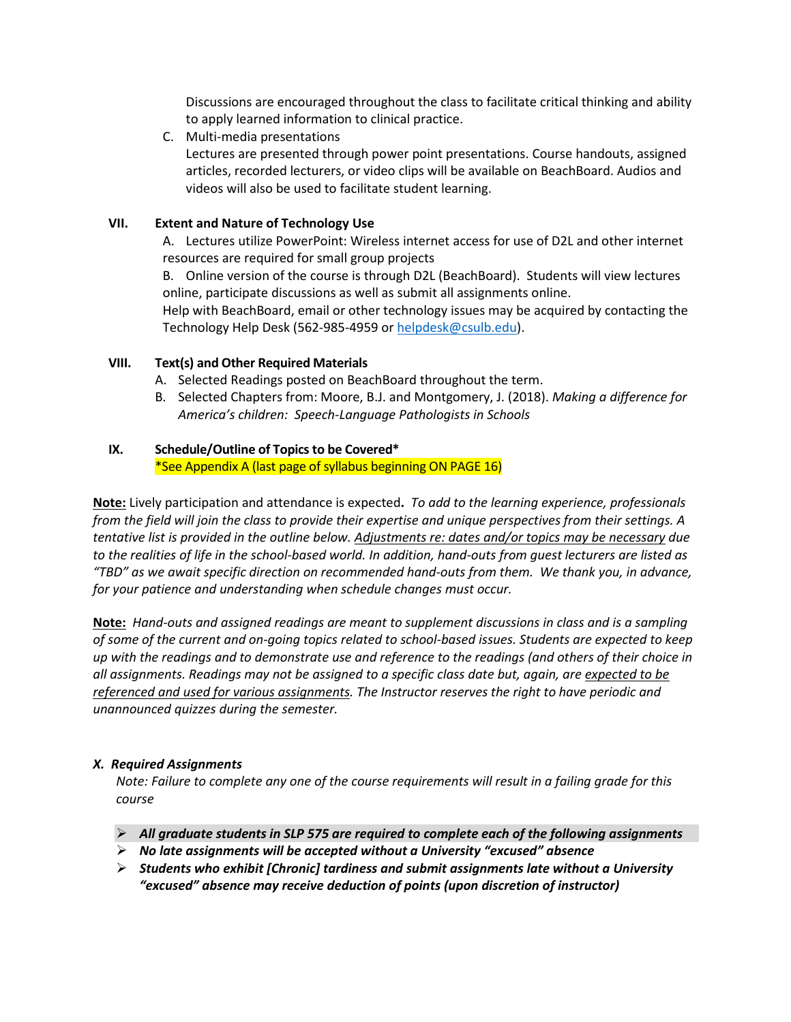Discussions are encouraged throughout the class to facilitate critical thinking and ability to apply learned information to clinical practice.

C. Multi-media presentations

Lectures are presented through power point presentations. Course handouts, assigned articles, recorded lecturers, or video clips will be available on BeachBoard. Audios and videos will also be used to facilitate student learning.

## **VII. Extent and Nature of Technology Use**

A. Lectures utilize PowerPoint: Wireless internet access for use of D2L and other internet resources are required for small group projects

B. Online version of the course is through D2L (BeachBoard). Students will view lectures online, participate discussions as well as submit all assignments online.

Help with BeachBoard, email or other technology issues may be acquired by contacting the Technology Help Desk (562-985-4959 o[r helpdesk@csulb.edu\)](mailto:helpdesk@csulb.edu).

## **VIII. Text(s) and Other Required Materials**

- A. Selected Readings posted on BeachBoard throughout the term.
- B. Selected Chapters from: Moore, B.J. and Montgomery, J. (2018). *Making a difference for America's children: Speech-Language Pathologists in Schools*

## **IX. Schedule/Outline of Topics to be Covered\***

\*See Appendix A (last page of syllabus beginning ON PAGE 16)

**Note:** Lively participation and attendance is expected**.** *To add to the learning experience, professionals from the field will join the class to provide their expertise and unique perspectives from their settings. A tentative list is provided in the outline below. Adjustments re: dates and/or topics may be necessary due to the realities of life in the school-based world. In addition, hand-outs from guest lecturers are listed as "TBD" as we await specific direction on recommended hand-outs from them. We thank you, in advance, for your patience and understanding when schedule changes must occur.*

**Note:** *Hand-outs and assigned readings are meant to supplement discussions in class and is a sampling of some of the current and on-going topics related to school-based issues. Students are expected to keep up with the readings and to demonstrate use and reference to the readings (and others of their choice in all assignments. Readings may not be assigned to a specific class date but, again, are expected to be referenced and used for various assignments. The Instructor reserves the right to have periodic and unannounced quizzes during the semester.*

## *X. Required Assignments*

Note: Failure to complete any one of the course requirements will result in a failing grade for this *course*

- *All graduate students in SLP 575 are required to complete each of the following assignments*
- *No late assignments will be accepted without a University "excused" absence*
- *Students who exhibit [Chronic] tardiness and submit assignments late without a University "excused" absence may receive deduction of points (upon discretion of instructor)*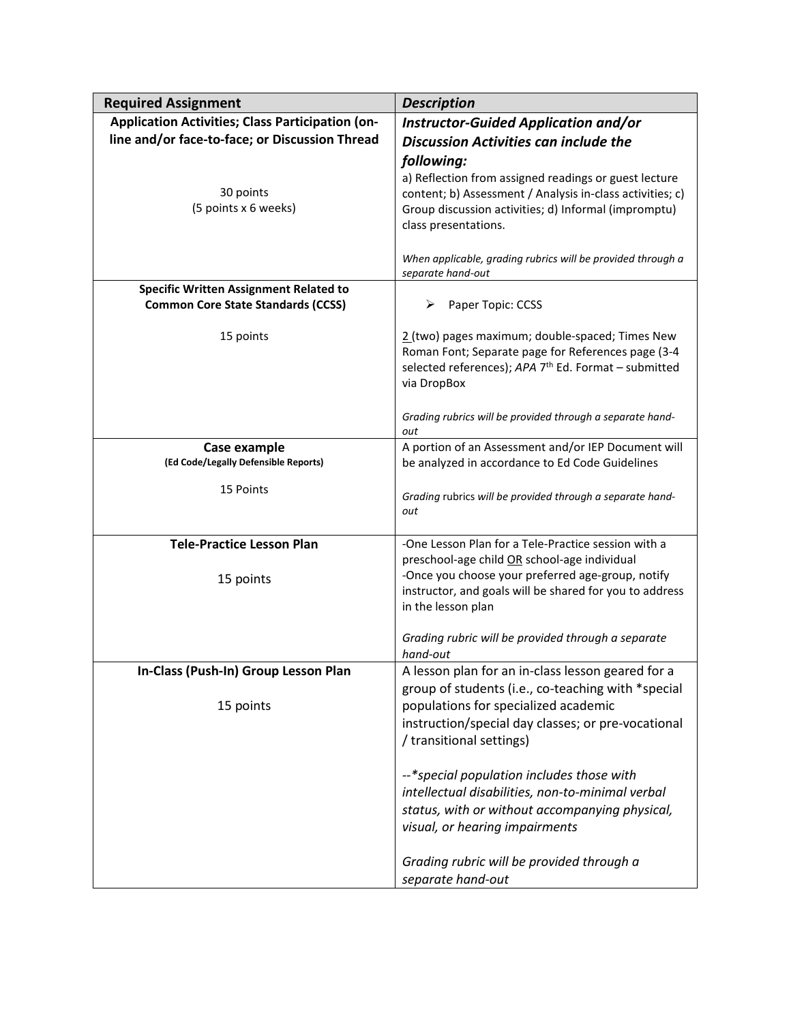| <b>Required Assignment</b>                           | <b>Description</b>                                                                                                                                                                                 |  |  |
|------------------------------------------------------|----------------------------------------------------------------------------------------------------------------------------------------------------------------------------------------------------|--|--|
| Application Activities; Class Participation (on-     | <b>Instructor-Guided Application and/or</b>                                                                                                                                                        |  |  |
| line and/or face-to-face; or Discussion Thread       | <b>Discussion Activities can include the</b>                                                                                                                                                       |  |  |
|                                                      | following:                                                                                                                                                                                         |  |  |
| 30 points<br>(5 points x 6 weeks)                    | a) Reflection from assigned readings or guest lecture<br>content; b) Assessment / Analysis in-class activities; c)<br>Group discussion activities; d) Informal (impromptu)<br>class presentations. |  |  |
|                                                      | When applicable, grading rubrics will be provided through a<br>separate hand-out                                                                                                                   |  |  |
| <b>Specific Written Assignment Related to</b>        |                                                                                                                                                                                                    |  |  |
| <b>Common Core State Standards (CCSS)</b>            | Paper Topic: CCSS<br>➤                                                                                                                                                                             |  |  |
| 15 points                                            | 2 (two) pages maximum; double-spaced; Times New<br>Roman Font; Separate page for References page (3-4<br>selected references); APA 7 <sup>th</sup> Ed. Format - submitted<br>via DropBox           |  |  |
|                                                      | Grading rubrics will be provided through a separate hand-<br>out                                                                                                                                   |  |  |
| Case example<br>(Ed Code/Legally Defensible Reports) | A portion of an Assessment and/or IEP Document will<br>be analyzed in accordance to Ed Code Guidelines                                                                                             |  |  |
| 15 Points                                            | Grading rubrics will be provided through a separate hand-<br>out                                                                                                                                   |  |  |
| <b>Tele-Practice Lesson Plan</b>                     | -One Lesson Plan for a Tele-Practice session with a                                                                                                                                                |  |  |
|                                                      | preschool-age child OR school-age individual                                                                                                                                                       |  |  |
| 15 points                                            | -Once you choose your preferred age-group, notify                                                                                                                                                  |  |  |
|                                                      | instructor, and goals will be shared for you to address<br>in the lesson plan                                                                                                                      |  |  |
|                                                      | Grading rubric will be provided through a separate<br>hand-out                                                                                                                                     |  |  |
| In-Class (Push-In) Group Lesson Plan                 | A lesson plan for an in-class lesson geared for a                                                                                                                                                  |  |  |
|                                                      | group of students (i.e., co-teaching with *special                                                                                                                                                 |  |  |
| 15 points                                            | populations for specialized academic                                                                                                                                                               |  |  |
|                                                      | instruction/special day classes; or pre-vocational                                                                                                                                                 |  |  |
|                                                      | / transitional settings)                                                                                                                                                                           |  |  |
|                                                      | --*special population includes those with                                                                                                                                                          |  |  |
|                                                      | intellectual disabilities, non-to-minimal verbal                                                                                                                                                   |  |  |
|                                                      | status, with or without accompanying physical,                                                                                                                                                     |  |  |
|                                                      | visual, or hearing impairments                                                                                                                                                                     |  |  |
|                                                      | Grading rubric will be provided through a<br>separate hand-out                                                                                                                                     |  |  |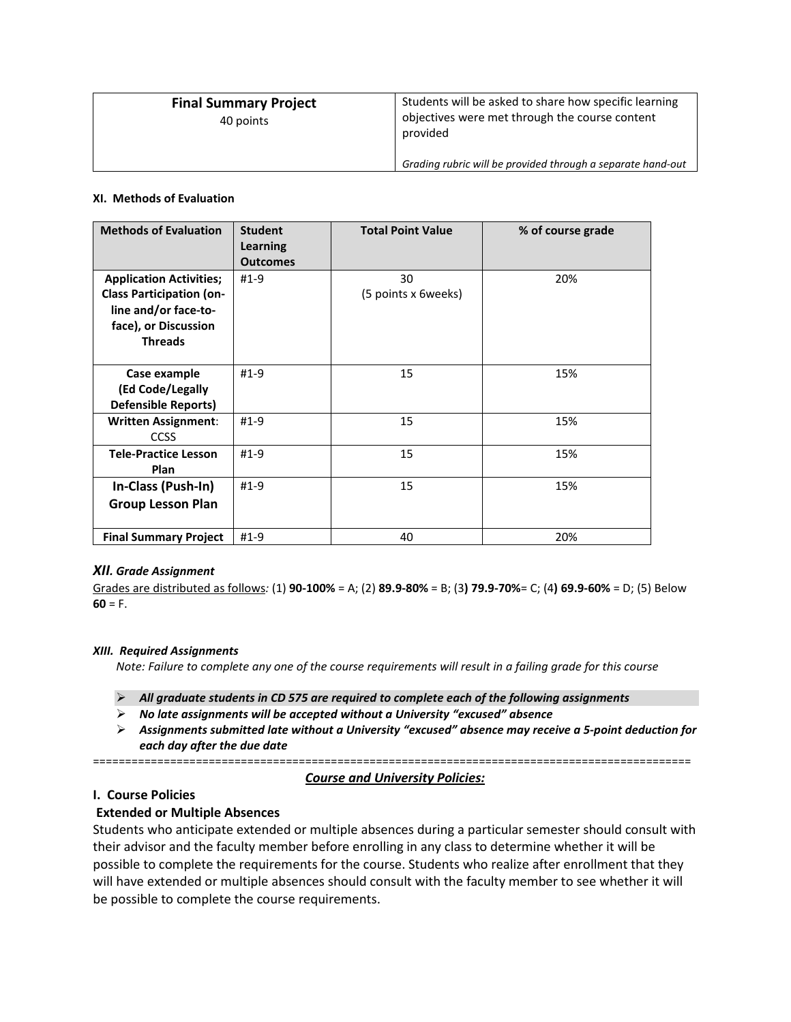| <b>Final Summary Project</b><br>40 points | Students will be asked to share how specific learning<br>objectives were met through the course content<br>provided |
|-------------------------------------------|---------------------------------------------------------------------------------------------------------------------|
|                                           | Grading rubric will be provided through a separate hand-out                                                         |

#### **XI. Methods of Evaluation**

| <b>Methods of Evaluation</b>                                                                                                        | <b>Student</b><br><b>Learning</b><br><b>Outcomes</b> | <b>Total Point Value</b>  | % of course grade |
|-------------------------------------------------------------------------------------------------------------------------------------|------------------------------------------------------|---------------------------|-------------------|
| <b>Application Activities;</b><br><b>Class Participation (on-</b><br>line and/or face-to-<br>face), or Discussion<br><b>Threads</b> | $#1-9$                                               | 30<br>(5 points x 6weeks) | 20%               |
| Case example<br>(Ed Code/Legally<br><b>Defensible Reports)</b>                                                                      | $#1-9$                                               | 15                        | 15%               |
| <b>Written Assignment:</b><br><b>CCSS</b>                                                                                           | $#1-9$                                               | 15                        | 15%               |
| <b>Tele-Practice Lesson</b><br>Plan                                                                                                 | $#1-9$                                               | 15                        | 15%               |
| In-Class (Push-In)<br><b>Group Lesson Plan</b>                                                                                      | $#1-9$                                               | 15                        | 15%               |
| <b>Final Summary Project</b>                                                                                                        | $#1-9$                                               | 40                        | 20%               |

#### *XII. Grade Assignment*

Grades are distributed as follows*:* (1) **90-100%** = A; (2) **89.9-80%** = B; (3**) 79.9-70%**= C; (4**) 69.9-60%** = D; (5) Below  $60 = F.$ 

#### *XIII. Required Assignments*

Note: Failure to complete any one of the course requirements will result in a failing grade for this course

- *All graduate students in CD 575 are required to complete each of the following assignments*
- *No late assignments will be accepted without a University "excused" absence*
- *Assignments submitted late without a University "excused" absence may receive a 5-point deduction for each day after the due date*

=============================================================================================

#### *Course and University Policies:*

### **I. Course Policies**

## **Extended or Multiple Absences**

Students who anticipate extended or multiple absences during a particular semester should consult with their advisor and the faculty member before enrolling in any class to determine whether it will be possible to complete the requirements for the course. Students who realize after enrollment that they will have extended or multiple absences should consult with the faculty member to see whether it will be possible to complete the course requirements.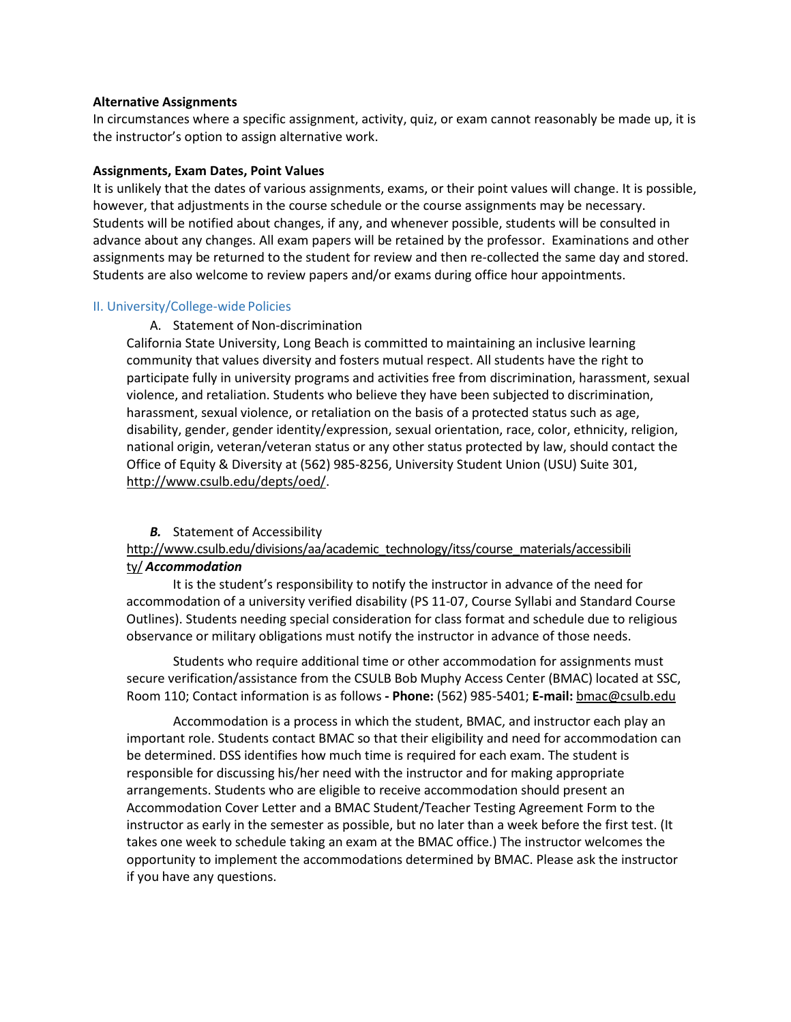#### **Alternative Assignments**

In circumstances where a specific assignment, activity, quiz, or exam cannot reasonably be made up, it is the instructor's option to assign alternative work.

#### **Assignments, Exam Dates, Point Values**

It is unlikely that the dates of various assignments, exams, or their point values will change. It is possible, however, that adjustments in the course schedule or the course assignments may be necessary. Students will be notified about changes, if any, and whenever possible, students will be consulted in advance about any changes. All exam papers will be retained by the professor. Examinations and other assignments may be returned to the student for review and then re-collected the same day and stored. Students are also welcome to review papers and/or exams during office hour appointments.

#### II. University/College-wide Policies

#### A. Statement of Non-discrimination

California State University, Long Beach is committed to maintaining an inclusive learning community that values diversity and fosters mutual respect. All students have the right to participate fully in university programs and activities free from discrimination, harassment, sexual violence, and retaliation. Students who believe they have been subjected to discrimination, harassment, sexual violence, or retaliation on the basis of a protected status such as age, disability, gender, gender identity/expression, sexual orientation, race, color, ethnicity, religion, national origin, veteran/veteran status or any other status protected by law, should contact the Office of Equity & Diversity at (562) 985-8256, University Student Union (USU) Suite 301, [http://www.csulb.edu/depts/oed/.](http://www.csulb.edu/depts/oed/)

#### *B.* Statement of Accessibilit[y](http://www.csulb.edu/divisions/aa/academic_technology/itss/course_materials/accessibility/)

## [http://www.csulb.edu/divisions/aa/academic\\_technology/itss/course\\_materials/accessibili](http://www.csulb.edu/divisions/aa/academic_technology/itss/course_materials/accessibility/) [ty/](http://www.csulb.edu/divisions/aa/academic_technology/itss/course_materials/accessibility/) *Accommodation*

It is the student's responsibility to notify the instructor in advance of the need for accommodation of a university verified disability (PS 11-07, Course Syllabi and Standard Course Outlines). Students needing special consideration for class format and schedule due to religious observance or military obligations must notify the instructor in advance of those needs.

Students who require additional time or other accommodation for assignments must secure verification/assistance from the CSULB Bob Muphy Access Center (BMAC) located at SSC, Room 110; Contact information is as follows **- Phone:** (562) 985-5401; **E-mail:** [bmac@csulb.edu](mailto:dss@csulb.edu)

Accommodation is a process in which the student, BMAC, and instructor each play an important role. Students contact BMAC so that their eligibility and need for accommodation can be determined. DSS identifies how much time is required for each exam. The student is responsible for discussing his/her need with the instructor and for making appropriate arrangements. Students who are eligible to receive accommodation should present an Accommodation Cover Letter and a BMAC Student/Teacher Testing Agreement Form to the instructor as early in the semester as possible, but no later than a week before the first test. (It takes one week to schedule taking an exam at the BMAC office.) The instructor welcomes the opportunity to implement the accommodations determined by BMAC. Please ask the instructor if you have any questions.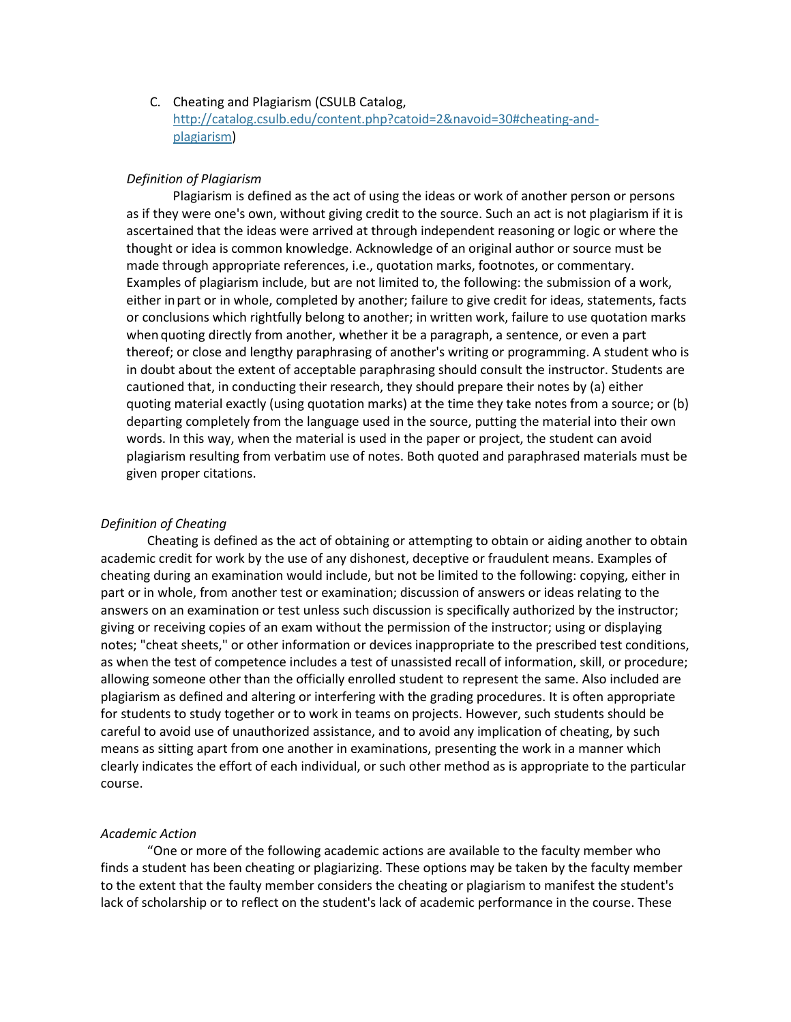## C. Cheating and Plagiarism (CSULB Catalog, [http://catalog.csulb.edu/content.php?catoid=2&navoid=30#cheating-and](http://catalog.csulb.edu/content.php?catoid=2&navoid=30&cheating-and-plagiarism)[plagiarism\)](http://catalog.csulb.edu/content.php?catoid=2&navoid=30&cheating-and-plagiarism)

#### *Definition of Plagiarism*

Plagiarism is defined as the act of using the ideas or work of another person or persons as if they were one's own, without giving credit to the source. Such an act is not plagiarism if it is ascertained that the ideas were arrived at through independent reasoning or logic or where the thought or idea is common knowledge. Acknowledge of an original author or source must be made through appropriate references, i.e., quotation marks, footnotes, or commentary. Examples of plagiarism include, but are not limited to, the following: the submission of a work, either inpart or in whole, completed by another; failure to give credit for ideas, statements, facts or conclusions which rightfully belong to another; in written work, failure to use quotation marks when quoting directly from another, whether it be a paragraph, a sentence, or even a part thereof; or close and lengthy paraphrasing of another's writing or programming. A student who is in doubt about the extent of acceptable paraphrasing should consult the instructor. Students are cautioned that, in conducting their research, they should prepare their notes by (a) either quoting material exactly (using quotation marks) at the time they take notes from a source; or (b) departing completely from the language used in the source, putting the material into their own words. In this way, when the material is used in the paper or project, the student can avoid plagiarism resulting from verbatim use of notes. Both quoted and paraphrased materials must be given proper citations.

#### *Definition of Cheating*

Cheating is defined as the act of obtaining or attempting to obtain or aiding another to obtain academic credit for work by the use of any dishonest, deceptive or fraudulent means. Examples of cheating during an examination would include, but not be limited to the following: copying, either in part or in whole, from another test or examination; discussion of answers or ideas relating to the answers on an examination or test unless such discussion is specifically authorized by the instructor; giving or receiving copies of an exam without the permission of the instructor; using or displaying notes; "cheat sheets," or other information or devices inappropriate to the prescribed test conditions, as when the test of competence includes a test of unassisted recall of information, skill, or procedure; allowing someone other than the officially enrolled student to represent the same. Also included are plagiarism as defined and altering or interfering with the grading procedures. It is often appropriate for students to study together or to work in teams on projects. However, such students should be careful to avoid use of unauthorized assistance, and to avoid any implication of cheating, by such means as sitting apart from one another in examinations, presenting the work in a manner which clearly indicates the effort of each individual, or such other method as is appropriate to the particular course.

#### *Academic Action*

"One or more of the following academic actions are available to the faculty member who finds a student has been cheating or plagiarizing. These options may be taken by the faculty member to the extent that the faulty member considers the cheating or plagiarism to manifest the student's lack of scholarship or to reflect on the student's lack of academic performance in the course. These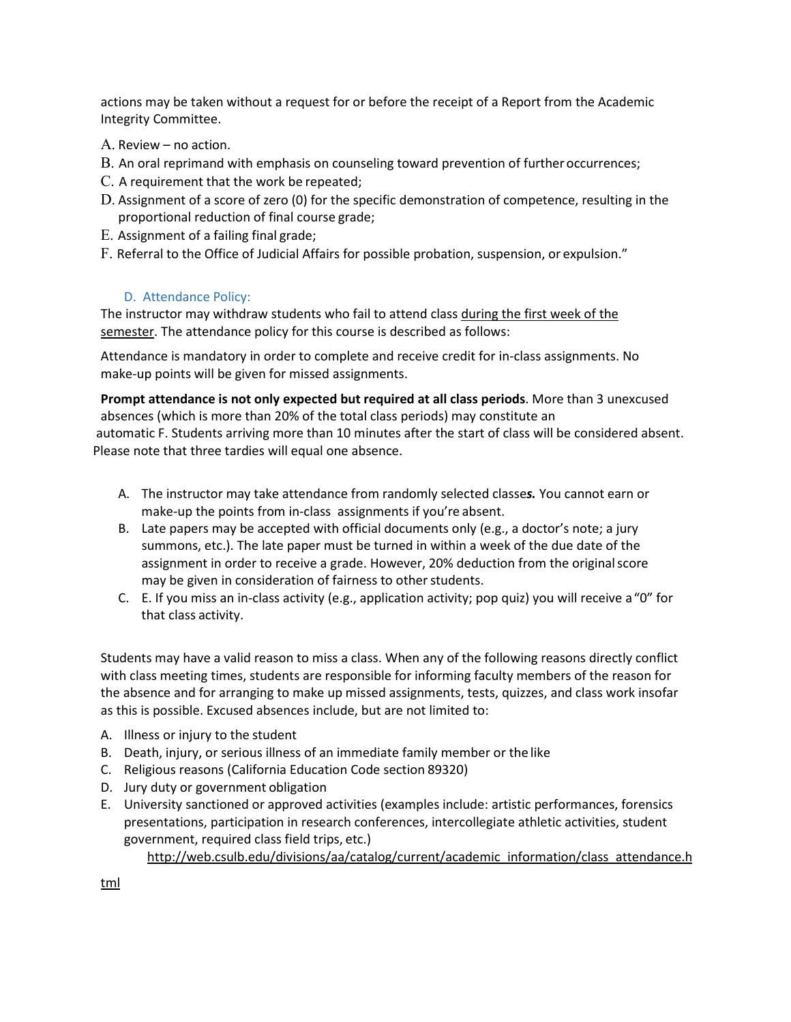actions may be taken without a request for or before the receipt of a Report from the Academic Integrity Committee.

- A. Review no action.
- B. An oral reprimand with emphasis on counseling toward prevention of furtheroccurrences;
- C. A requirement that the work be repeated;
- D. Assignment of a score of zero (0) for the specific demonstration of competence, resulting in the proportional reduction of final course grade;
- E. Assignment of a failing final grade;
- F. Referral to the Office of Judicial Affairs for possible probation, suspension, or expulsion."

## D. Attendance Policy:

The instructor may withdraw students who fail to attend class during the first week of the semester. The attendance policy for this course is described as follows:

Attendance is mandatory in order to complete and receive credit for in-class assignments. No make-up points will be given for missed assignments.

**Prompt attendance is not only expected but required at all class periods**. More than 3 unexcused absences (which is more than 20% of the total class periods) may constitute an automatic F. Students arriving more than 10 minutes after the start of class will be considered absent. Please note that three tardies will equal one absence.

- A. The instructor may take attendance from randomly selected classe*s.* You cannot earn or make-up the points from in-class assignments if you're absent.
- B. Late papers may be accepted with official documents only (e.g., a doctor's note; a jury summons, etc.). The late paper must be turned in within a week of the due date of the assignment in order to receive a grade. However, 20% deduction from the originalscore may be given in consideration of fairness to other students.
- C. E. If you miss an in-class activity (e.g., application activity; pop quiz) you will receive a"0" for that class activity.

Students may have a valid reason to miss a class. When any of the following reasons directly conflict with class meeting times, students are responsible for informing faculty members of the reason for the absence and for arranging to make up missed assignments, tests, quizzes, and class work insofar as this is possible. Excused absences include, but are not limited to:

- A. Illness or injury to the student
- B. Death, injury, or serious illness of an immediate family member or the like
- C. Religious reasons (California Education Code section 89320)
- D. Jury duty or government obligation
- E. University sanctioned or approved activities (examples include: artistic performances, forensics presentations, participation in research conferences, intercollegiate athletic activities, student government, required class field trips, etc.)

[http://web.csulb.edu/divisions/aa/catalog/current/academic\\_information/class\\_attendance.h](http://web.csulb.edu/divisions/aa/catalog/current/academic_information/class_attendance.html)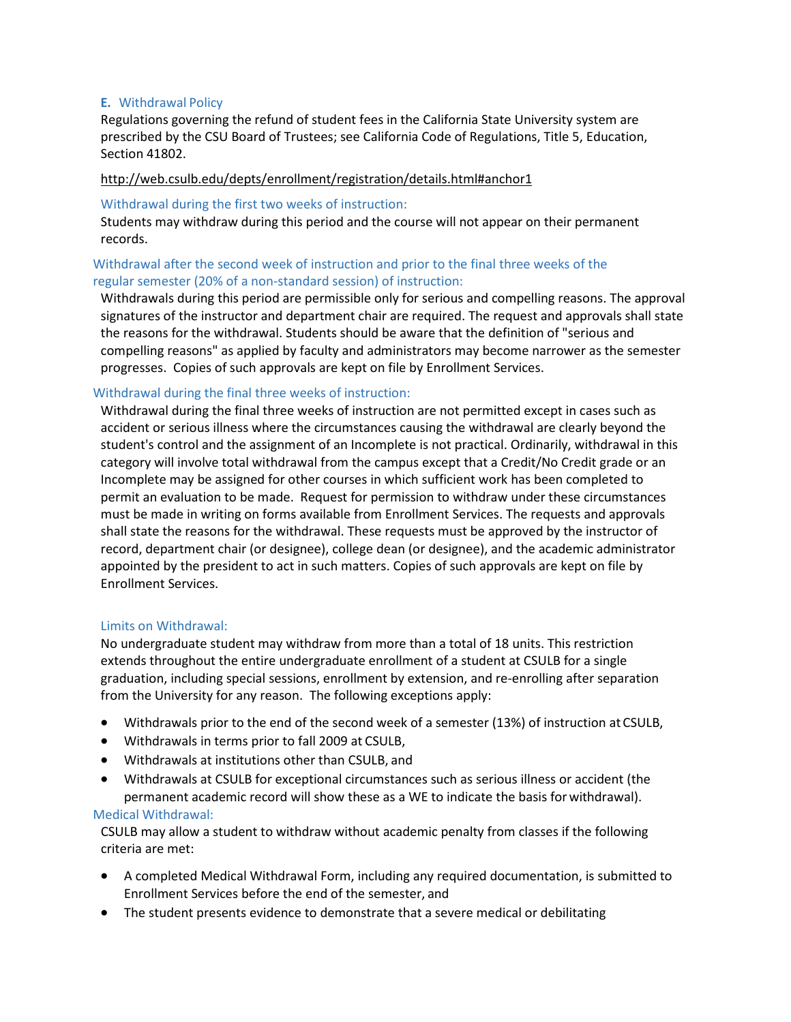### **E.** Withdrawal Policy

Regulations governing the refund of student fees in the California State University system are prescribed by the CSU Board of Trustees; see California Code of Regulations, Title 5, Education, Section 41802.

### <http://web.csulb.edu/depts/enrollment/registration/details.html#anchor1>

#### Withdrawal during the first two weeks of instruction:

Students may withdraw during this period and the course will not appear on their permanent records.

## Withdrawal after the second week of instruction and prior to the final three weeks of the regular semester (20% of a non-standard session) of instruction:

Withdrawals during this period are permissible only for serious and compelling reasons. The approval signatures of the instructor and department chair are required. The request and approvals shall state the reasons for the withdrawal. Students should be aware that the definition of "serious and compelling reasons" as applied by faculty and administrators may become narrower as the semester progresses. Copies of such approvals are kept on file by Enrollment Services.

## Withdrawal during the final three weeks of instruction:

Withdrawal during the final three weeks of instruction are not permitted except in cases such as accident or serious illness where the circumstances causing the withdrawal are clearly beyond the student's control and the assignment of an Incomplete is not practical. Ordinarily, withdrawal in this category will involve total withdrawal from the campus except that a Credit/No Credit grade or an Incomplete may be assigned for other courses in which sufficient work has been completed to permit an evaluation to be made. Request for permission to withdraw under these circumstances must be made in writing on forms available from Enrollment Services. The requests and approvals shall state the reasons for the withdrawal. These requests must be approved by the instructor of record, department chair (or designee), college dean (or designee), and the academic administrator appointed by the president to act in such matters. Copies of such approvals are kept on file by Enrollment Services.

#### Limits on Withdrawal:

No undergraduate student may withdraw from more than a total of 18 units. This restriction extends throughout the entire undergraduate enrollment of a student at CSULB for a single graduation, including special sessions, enrollment by extension, and re-enrolling after separation from the University for any reason. The following exceptions apply:

- Withdrawals prior to the end of the second week of a semester (13%) of instruction atCSULB,
- Withdrawals in terms prior to fall 2009 at CSULB,
- Withdrawals at institutions other than CSULB, and
- Withdrawals at CSULB for exceptional circumstances such as serious illness or accident (the permanent academic record will show these as a WE to indicate the basis forwithdrawal).

#### Medical Withdrawal:

CSULB may allow a student to withdraw without academic penalty from classes if the following criteria are met:

- A completed Medical Withdrawal Form, including any required documentation, is submitted to Enrollment Services before the end of the semester, and
- The student presents evidence to demonstrate that a severe medical or debilitating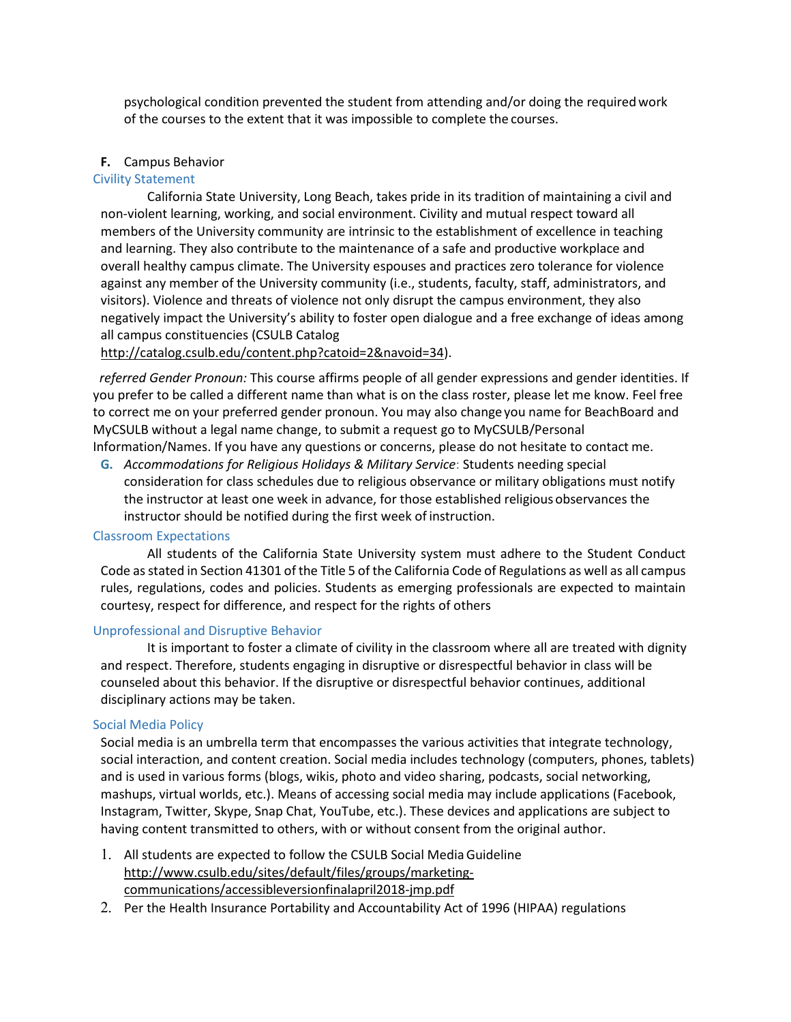psychological condition prevented the student from attending and/or doing the requiredwork of the courses to the extent that it was impossible to complete the courses.

#### **F.** Campus Behavior

#### Civility Statement

California State University, Long Beach, takes pride in its tradition of maintaining a civil and non-violent learning, working, and social environment. Civility and mutual respect toward all members of the University community are intrinsic to the establishment of excellence in teaching and learning. They also contribute to the maintenance of a safe and productive workplace and overall healthy campus climate. The University espouses and practices zero tolerance for violence against any member of the University community (i.e., students, faculty, staff, administrators, and visitors). Violence and threats of violence not only disrupt the campus environment, they also negatively impact the University's ability to foster open dialogue and a free exchange of ideas among all campus constituencies (CSULB Catalog

[http://catalog.csulb.edu/content.php?catoid=2&navoid=34\)](http://catalog.csulb.edu/content.php?catoid=2&navoid=34).

 *referred Gender Pronoun:* This course affirms people of all gender expressions and gender identities. If you prefer to be called a different name than what is on the class roster, please let me know. Feel free to correct me on your preferred gender pronoun. You may also change you name for BeachBoard and MyCSULB without a legal name change, to submit a request go to MyCSULB/Personal Information/Names. If you have any questions or concerns, please do not hesitate to contact me.

**G.** *Accommodations for Religious Holidays & Military Service*: Students needing special consideration for class schedules due to religious observance or military obligations must notify the instructor at least one week in advance, for those established religious observances the instructor should be notified during the first week of instruction.

#### Classroom Expectations

All students of the California State University system must adhere to the Student Conduct Code as stated in Section 41301 of the Title 5 of the California Code of Regulations as well as all campus rules, regulations, codes and policies. Students as emerging professionals are expected to maintain courtesy, respect for difference, and respect for the rights of others

#### Unprofessional and Disruptive Behavior

It is important to foster a climate of civility in the classroom where all are treated with dignity and respect. Therefore, students engaging in disruptive or disrespectful behavior in class will be counseled about this behavior. If the disruptive or disrespectful behavior continues, additional disciplinary actions may be taken.

#### Social Media Policy

Social media is an umbrella term that encompasses the various activities that integrate technology, social interaction, and content creation. Social media includes technology (computers, phones, tablets) and is used in various forms (blogs, wikis, photo and video sharing, podcasts, social networking, mashups, virtual worlds, etc.). Means of accessing social media may include applications (Facebook, Instagram, Twitter, Skype, Snap Chat, YouTube, etc.). These devices and applications are subject to having content transmitted to others, with or without consent from the original author.

- 1. All students are expected to follow the CSULB Social MediaGuidelin[e](http://www.csulb.edu/sites/default/files/groups/marketing-communications/accessibleversionfinalapril2018-jmp.pdf) [http://www.csulb.edu/sites/default/files/groups/marketing](http://www.csulb.edu/sites/default/files/groups/marketing-communications/accessibleversionfinalapril2018-jmp.pdf)[communications/accessibleversionfinalapril2018-jmp.pdf](http://www.csulb.edu/sites/default/files/groups/marketing-communications/accessibleversionfinalapril2018-jmp.pdf)
- 2. Per the Health Insurance Portability and Accountability Act of 1996 (HIPAA) regulations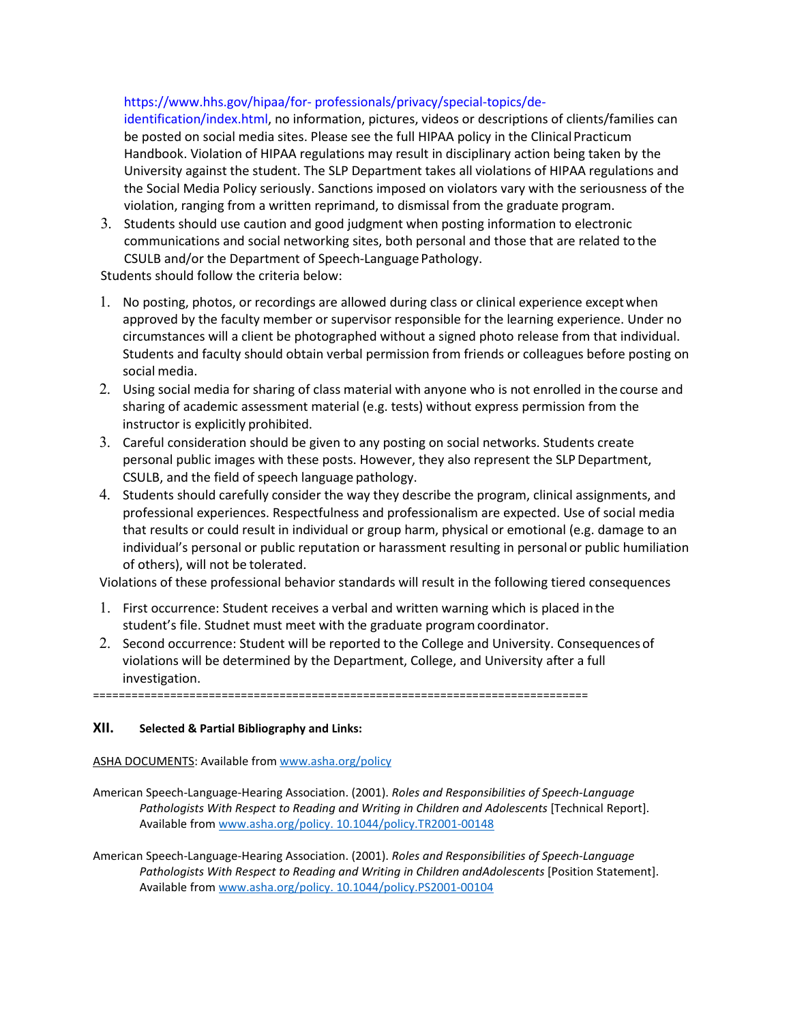## https:/[/www.hhs.gov/hipaa/for-](http://www.hhs.gov/hipaa/for-) professionals/privacy/special-topics/de-

identification/index.html, no information, pictures, videos or descriptions of clients/families can be posted on social media sites. Please see the full HIPAA policy in the ClinicalPracticum Handbook. Violation of HIPAA regulations may result in disciplinary action being taken by the University against the student. The SLP Department takes all violations of HIPAA regulations and the Social Media Policy seriously. Sanctions imposed on violators vary with the seriousness of the violation, ranging from a written reprimand, to dismissal from the graduate program.

3. Students should use caution and good judgment when posting information to electronic communications and social networking sites, both personal and those that are related to the CSULB and/or the Department of Speech-Language Pathology.

Students should follow the criteria below:

- 1. No posting, photos, or recordings are allowed during class or clinical experience exceptwhen approved by the faculty member or supervisor responsible for the learning experience. Under no circumstances will a client be photographed without a signed photo release from that individual. Students and faculty should obtain verbal permission from friends or colleagues before posting on social media.
- 2. Using social media for sharing of class material with anyone who is not enrolled in the course and sharing of academic assessment material (e.g. tests) without express permission from the instructor is explicitly prohibited.
- 3. Careful consideration should be given to any posting on social networks. Students create personal public images with these posts. However, they also represent the SLP Department, CSULB, and the field of speech language pathology.
- 4. Students should carefully consider the way they describe the program, clinical assignments, and professional experiences. Respectfulness and professionalism are expected. Use of social media that results or could result in individual or group harm, physical or emotional (e.g. damage to an individual's personal or public reputation or harassment resulting in personal or public humiliation of others), will not be tolerated.

Violations of these professional behavior standards will result in the following tiered consequences

- 1. First occurrence: Student receives a verbal and written warning which is placed in the student's file. Studnet must meet with the graduate programcoordinator.
- 2. Second occurrence: Student will be reported to the College and University. Consequences of violations will be determined by the Department, College, and University after a full investigation.

=============================================================================

## **XII. Selected & Partial Bibliography and Links:**

#### ASHA DOCUMENTS: Available from [www.asha.org/policy](http://www.asha.org/policy)

- American Speech-Language-Hearing Association. (2001). *Roles and Responsibilities of Speech-Language*  Pathologists With Respect to Reading and Writing in Children and Adolescents [Technical Report]. Available from [www.asha.org/policy. 10.1044/policy.TR2001-00148](http://www.asha.org/policy.%2010.1044/policy.TR2001-00148)
- American Speech-Language-Hearing Association. (2001). *Roles and Responsibilities of Speech-Language*  Pathologists With Respect to Reading and Writing in Children andAdolescents [Position Statement]. Available from www.asha.org/policy. [10.1044/policy.PS2001-00104](http://www.asha.org/policy.%2010.1044/policy.PS2001-00104)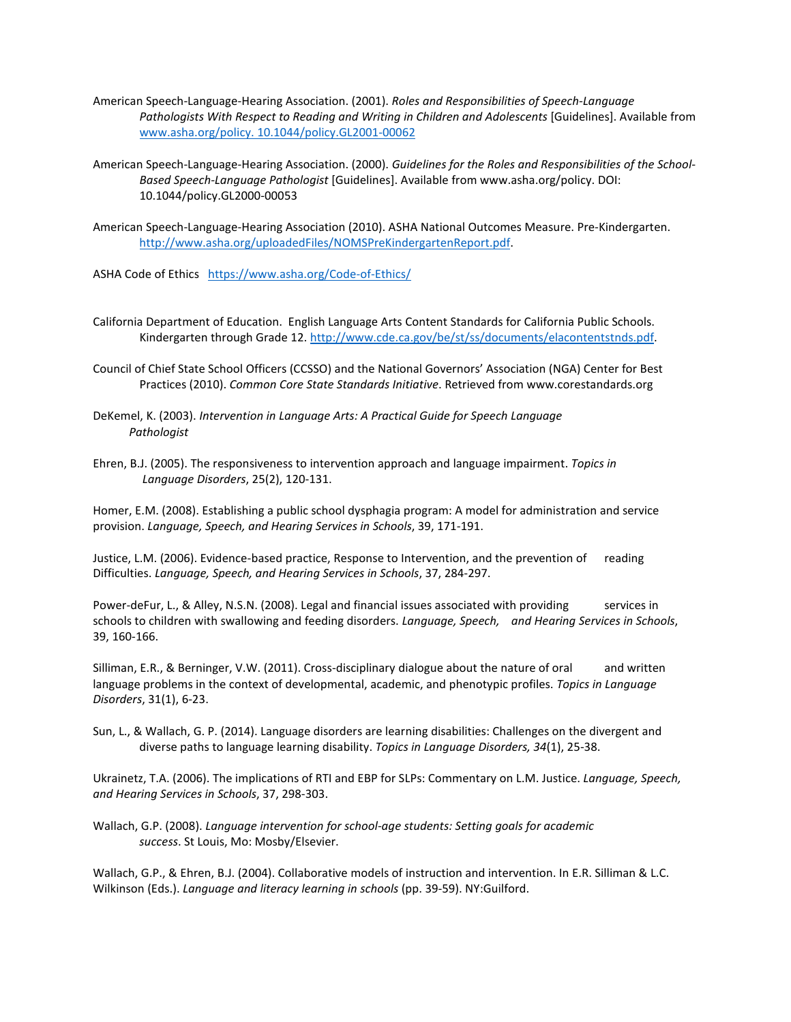- American Speech-Language-Hearing Association. (2001). *Roles and Responsibilities of Speech-Language*  Pathologists With Respect to Reading and Writing in Children and Adolescents [Guidelines]. Available from [www.asha.org/policy. 10.1044/policy.GL2001-00062](http://www.asha.org/policy.%2010.1044/policy.GL2001-00062)
- American Speech-Language-Hearing Association. (2000). *Guidelines for the Roles and Responsibilities of the School-Based Speech-Language Pathologist* [Guidelines]. Available from www.asha.org/policy. DOI: 10.1044/policy.GL2000-00053
- American Speech-Language-Hearing Association (2010). ASHA National Outcomes Measure. Pre-Kindergarten. [http://www.asha.org/uploadedFiles/NOMSPreKindergartenReport.pdf.](http://www.asha.org/uploadedFiles/NOMSPreKindergartenReport.pdf)

ASHA Code of Ethics <https://www.asha.org/Code-of-Ethics/>

- California Department of Education. English Language Arts Content Standards for California Public Schools. Kindergarten through Grade 12. [http://www.cde.ca.gov/be/st/ss/documents/elacontentstnds.pdf.](http://www.cde.ca.gov/be/st/ss/documents/elacontentstnds.pdf)
- Council of Chief State School Officers (CCSSO) and the National Governors' Association (NGA) Center for Best Practices (2010). *Common Core State Standards Initiative*. Retrieved from www.corestandards.org
- DeKemel, K. (2003). *Intervention in Language Arts: A Practical Guide for Speech Language Pathologist*
- Ehren, B.J. (2005). The responsiveness to intervention approach and language impairment. *Topics in Language Disorders*, 25(2), 120-131.

Homer, E.M. (2008). Establishing a public school dysphagia program: A model for administration and service provision. *Language, Speech, and Hearing Services in Schools*, 39, 171-191.

Justice, L.M. (2006). Evidence-based practice, Response to Intervention, and the prevention of reading Difficulties. *Language, Speech, and Hearing Services in Schools*, 37, 284-297.

Power-deFur, L., & Alley, N.S.N. (2008). Legal and financial issues associated with providing services in schools to children with swallowing and feeding disorders. *Language, Speech, and Hearing Services in Schools*, 39, 160-166.

Silliman, E.R., & Berninger, V.W. (2011). Cross-disciplinary dialogue about the nature of oral and written language problems in the context of developmental, academic, and phenotypic profiles. *Topics in Language Disorders*, 31(1), 6-23.

Sun, L., & Wallach, G. P. (2014). Language disorders are learning disabilities: Challenges on the divergent and diverse paths to language learning disability. *Topics in Language Disorders, 34*(1), 25-38.

Ukrainetz, T.A. (2006). The implications of RTI and EBP for SLPs: Commentary on L.M. Justice. *Language, Speech, and Hearing Services in Schools*, 37, 298-303.

Wallach, G.P. (2008). *Language intervention for school-age students: Setting goals for academic success*. St Louis, Mo: Mosby/Elsevier.

Wallach, G.P., & Ehren, B.J. (2004). Collaborative models of instruction and intervention. In E.R. Silliman & L.C. Wilkinson (Eds.). *Language and literacy learning in schools* (pp. 39-59). NY:Guilford.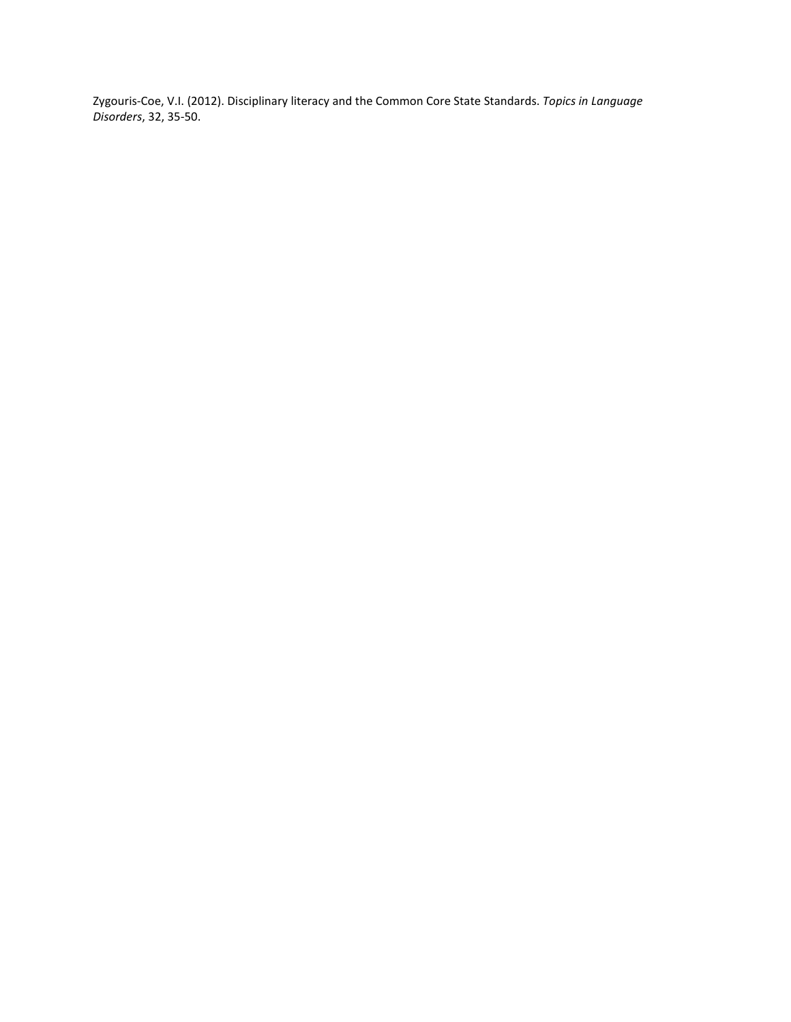Zygouris-Coe, V.I. (2012). Disciplinary literacy and the Common Core State Standards. *Topics in Language Disorders*, 32, 35-50.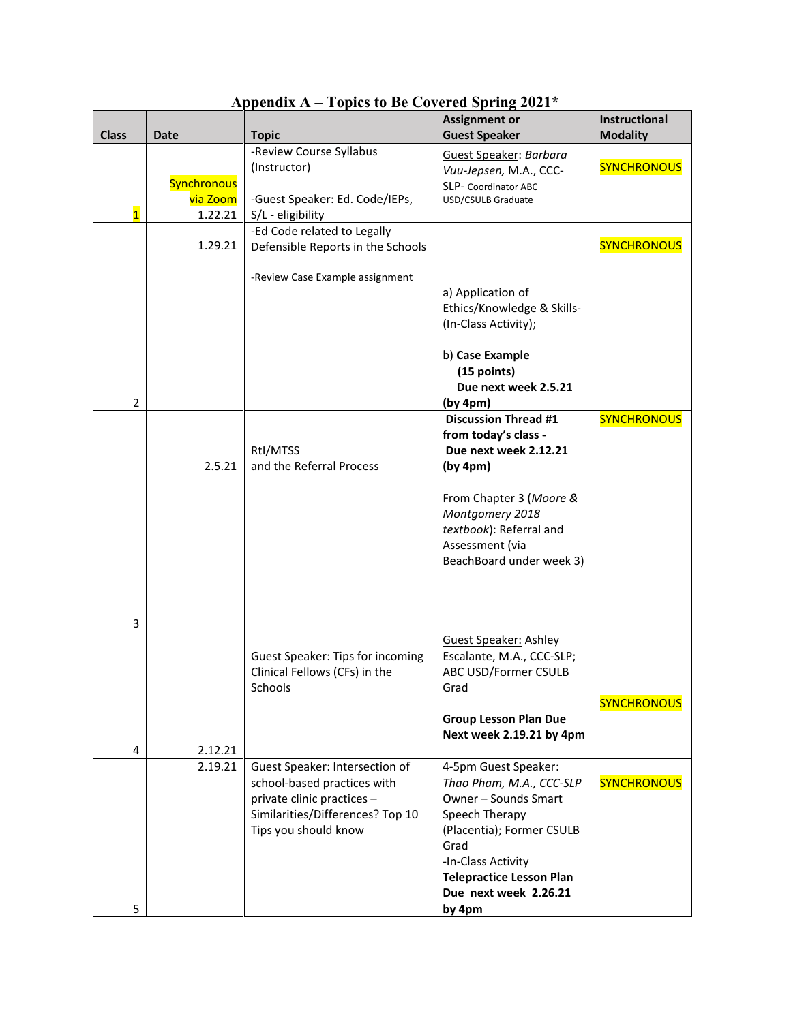| <b>Class</b>   | <b>Date</b>                        | <b>Topic</b>                                                                                                                                            | <b>Assignment or</b><br><b>Guest Speaker</b>                                                                                                                                                                                | Instructional<br><b>Modality</b> |
|----------------|------------------------------------|---------------------------------------------------------------------------------------------------------------------------------------------------------|-----------------------------------------------------------------------------------------------------------------------------------------------------------------------------------------------------------------------------|----------------------------------|
| $\overline{1}$ | Synchronous<br>via Zoom<br>1.22.21 | -Review Course Syllabus<br>(Instructor)<br>-Guest Speaker: Ed. Code/IEPs,<br>S/L - eligibility                                                          | Guest Speaker: Barbara<br>Vuu-Jepsen, M.A., CCC-<br>SLP- Coordinator ABC<br>USD/CSULB Graduate                                                                                                                              | <b>SYNCHRONOUS</b>               |
| 2              | 1.29.21                            | -Ed Code related to Legally<br>Defensible Reports in the Schools<br>-Review Case Example assignment                                                     | a) Application of<br>Ethics/Knowledge & Skills-<br>(In-Class Activity);<br>b) Case Example<br>$(15$ points)<br>Due next week 2.5.21<br>(by 4pm)                                                                             | <b>SYNCHRONOUS</b>               |
| 3              | 2.5.21                             | RtI/MTSS<br>and the Referral Process                                                                                                                    | <b>Discussion Thread #1</b><br>from today's class -<br>Due next week 2.12.21<br>(by 4pm)<br>From Chapter 3 (Moore &<br>Montgomery 2018<br>textbook): Referral and<br>Assessment (via<br>BeachBoard under week 3)            | <b>SYNCHRONOUS</b>               |
| 4              | 2.12.21                            | <b>Guest Speaker: Tips for incoming</b><br>Clinical Fellows (CFs) in the<br>Schools                                                                     | <b>Guest Speaker: Ashley</b><br>Escalante, M.A., CCC-SLP;<br>ABC USD/Former CSULB<br>Grad<br><b>Group Lesson Plan Due</b><br>Next week 2.19.21 by 4pm                                                                       | <b>SYNCHRONOUS</b>               |
| 5              | 2.19.21                            | Guest Speaker: Intersection of<br>school-based practices with<br>private clinic practices -<br>Similarities/Differences? Top 10<br>Tips you should know | 4-5pm Guest Speaker:<br>Thao Pham, M.A., CCC-SLP<br>Owner - Sounds Smart<br>Speech Therapy<br>(Placentia); Former CSULB<br>Grad<br>-In-Class Activity<br><b>Telepractice Lesson Plan</b><br>Due next week 2.26.21<br>by 4pm | <b>SYNCHRONOUS</b>               |

**Appendix A – Topics to Be Covered Spring 2021\***